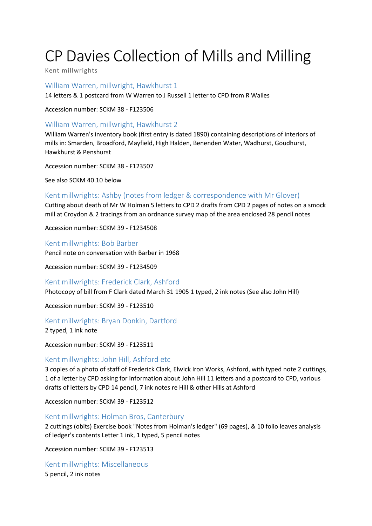# CP Davies Collection of Mills and Milling

Kent millwrights

William Warren, millwright, Hawkhurst 1

14 letters & 1 postcard from W Warren to J Russell 1 letter to CPD from R Wailes

Accession number: SCKM 38 - F123506

## William Warren, millwright, Hawkhurst 2

William Warren's inventory book (first entry is dated 1890) containing descriptions of interiors of mills in: Smarden, Broadford, Mayfield, High Halden, Benenden Water, Wadhurst, Goudhurst, Hawkhurst & Penshurst

Accession number: SCKM 38 - F123507

See also SCKM 40.10 below

## Kent millwrights: Ashby (notes from ledger & correspondence with Mr Glover)

Cutting about death of Mr W Holman 5 letters to CPD 2 drafts from CPD 2 pages of notes on a smock mill at Croydon & 2 tracings from an ordnance survey map of the area enclosed 28 pencil notes

Accession number: SCKM 39 - F1234508

Kent millwrights: Bob Barber Pencil note on conversation with Barber in 1968

Accession number: SCKM 39 - F1234509

## Kent millwrights: Frederick Clark, Ashford

Photocopy of bill from F Clark dated March 31 1905 1 typed, 2 ink notes (See also John Hill)

Accession number: SCKM 39 - F123510

## Kent millwrights: Bryan Donkin, Dartford

2 typed, 1 ink note

Accession number: SCKM 39 - F123511

## Kent millwrights: John Hill, Ashford etc

3 copies of a photo of staff of Frederick Clark, Elwick Iron Works, Ashford, with typed note 2 cuttings, 1 of a letter by CPD asking for information about John Hill 11 letters and a postcard to CPD, various drafts of letters by CPD 14 pencil, 7 ink notes re Hill & other Hills at Ashford

Accession number: SCKM 39 - F123512

## Kent millwrights: Holman Bros, Canterbury

2 cuttings (obits) Exercise book "Notes from Holman's ledger" (69 pages), & 10 folio leaves analysis of ledger's contents Letter 1 ink, 1 typed, 5 pencil notes

Accession number: SCKM 39 - F123513

Kent millwrights: Miscellaneous

5 pencil, 2 ink notes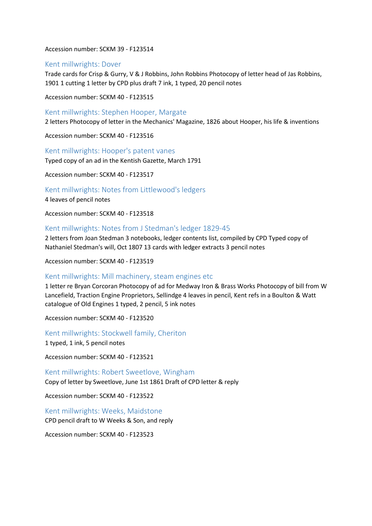#### Accession number: SCKM 39 - F123514

#### Kent millwrights: Dover

Trade cards for Crisp & Gurry, V & J Robbins, John Robbins Photocopy of letter head of Jas Robbins, 1901 1 cutting 1 letter by CPD plus draft 7 ink, 1 typed, 20 pencil notes

Accession number: SCKM 40 - F123515

#### Kent millwrights: Stephen Hooper, Margate

2 letters Photocopy of letter in the Mechanics' Magazine, 1826 about Hooper, his life & inventions

Accession number: SCKM 40 - F123516

Kent millwrights: Hooper's patent vanes

Typed copy of an ad in the Kentish Gazette, March 1791

Accession number: SCKM 40 - F123517

Kent millwrights: Notes from Littlewood's ledgers

4 leaves of pencil notes

Accession number: SCKM 40 - F123518

#### Kent millwrights: Notes from J Stedman's ledger 1829-45

2 letters from Joan Stedman 3 notebooks, ledger contents list, compiled by CPD Typed copy of Nathaniel Stedman's will, Oct 1807 13 cards with ledger extracts 3 pencil notes

Accession number: SCKM 40 - F123519

#### Kent millwrights: Mill machinery, steam engines etc

1 letter re Bryan Corcoran Photocopy of ad for Medway Iron & Brass Works Photocopy of bill from W Lancefield, Traction Engine Proprietors, Sellindge 4 leaves in pencil, Kent refs in a Boulton & Watt catalogue of Old Engines 1 typed, 2 pencil, 5 ink notes

Accession number: SCKM 40 - F123520

Kent millwrights: Stockwell family, Cheriton

1 typed, 1 ink, 5 pencil notes

Accession number: SCKM 40 - F123521

Kent millwrights: Robert Sweetlove, Wingham Copy of letter by Sweetlove, June 1st 1861 Draft of CPD letter & reply

Accession number: SCKM 40 - F123522

Kent millwrights: Weeks, Maidstone CPD pencil draft to W Weeks & Son, and reply

Accession number: SCKM 40 - F123523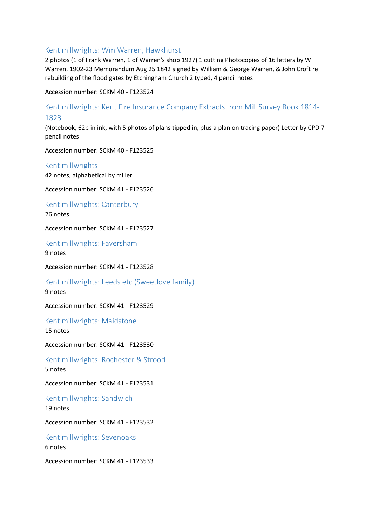#### Kent millwrights: Wm Warren, Hawkhurst

2 photos (1 of Frank Warren, 1 of Warren's shop 1927) 1 cutting Photocopies of 16 letters by W Warren, 1902-23 Memorandum Aug 25 1842 signed by William & George Warren, & John Croft re rebuilding of the flood gates by Etchingham Church 2 typed, 4 pencil notes

Accession number: SCKM 40 - F123524

Kent millwrights: Kent Fire Insurance Company Extracts from Mill Survey Book 1814- 1823

(Notebook, 62p in ink, with 5 photos of plans tipped in, plus a plan on tracing paper) Letter by CPD 7 pencil notes

Accession number: SCKM 40 - F123525

## Kent millwrights

42 notes, alphabetical by miller

Accession number: SCKM 41 - F123526

Kent millwrights: Canterbury 26 notes

Accession number: SCKM 41 - F123527

Kent millwrights: Faversham

9 notes

Accession number: SCKM 41 - F123528

Kent millwrights: Leeds etc (Sweetlove family) 9 notes

Accession number: SCKM 41 - F123529

Kent millwrights: Maidstone 15 notes

Accession number: SCKM 41 - F123530

Kent millwrights: Rochester & Strood 5 notes

Accession number: SCKM 41 - F123531

Kent millwrights: Sandwich 19 notes

Accession number: SCKM 41 - F123532

Kent millwrights: Sevenoaks 6 notes

Accession number: SCKM 41 - F123533